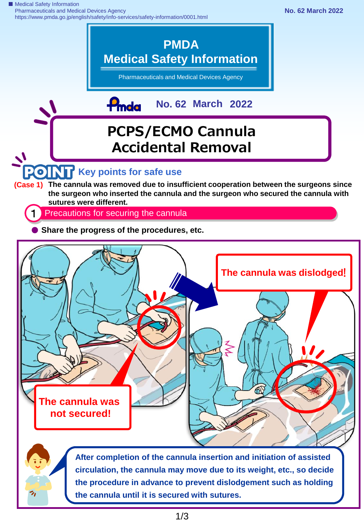■ Medical Safety Information Pharmaceuticals and Medical Devices Agency https://www.pmda.go.jp/english/safety/info-services/safety-information/0001.html



**the cannula until it is secured with sutures.**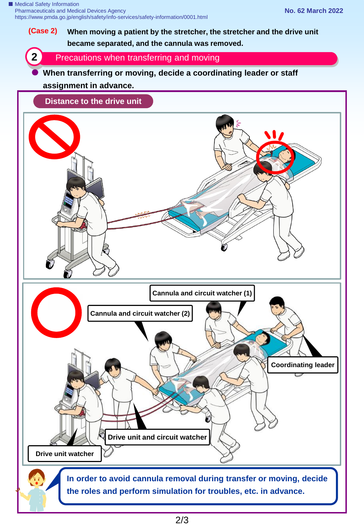# **(Case 2) When moving a patient by the stretcher, the stretcher and the drive unit became separated, and the cannula was removed.**

**2** Precautions when transferring and moving

## **When transferring or moving, decide a coordinating leader or staff**

### **assignment in advance.**